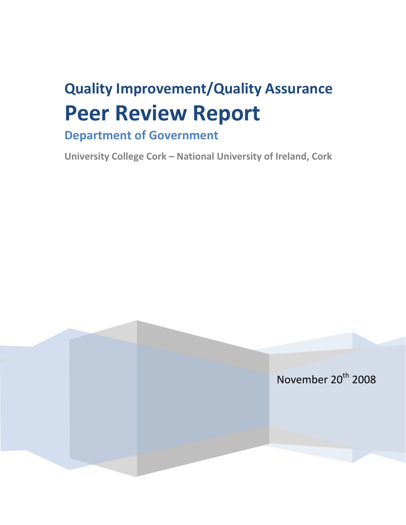# **Quality Improvement/Quality Assurance Peer Review Report**

# **Department of Government**

**University College Cork – National University of Ireland, Cork**

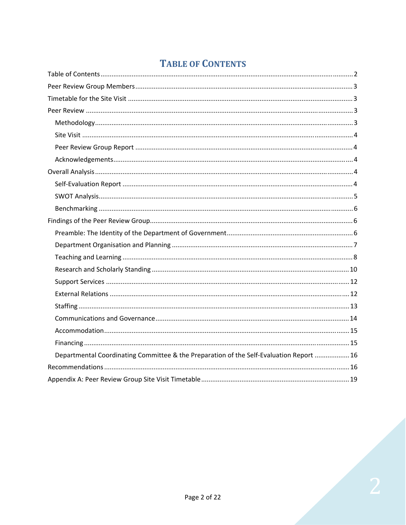# **TABLE OF CONTENTS**

<span id="page-1-0"></span>

| Departmental Coordinating Committee & the Preparation of the Self-Evaluation Report  16 |
|-----------------------------------------------------------------------------------------|
|                                                                                         |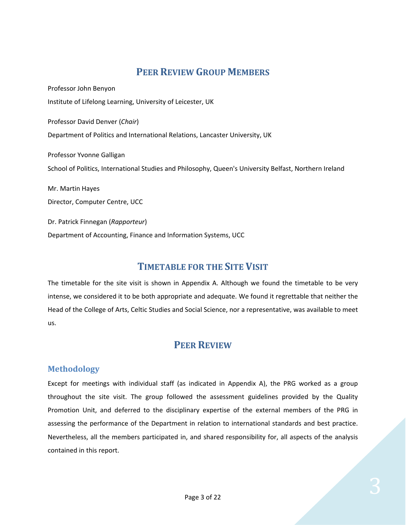# **PEER REVIEW GROUP MEMBERS**

<span id="page-2-0"></span>Professor John Benyon Institute of Lifelong Learning, University of Leicester, UK Professor David Denver (*Chair*) Department of Politics and International Relations, Lancaster University, UK Professor Yvonne Galligan School of Politics, International Studies and Philosophy, Queen's University Belfast, Northern Ireland Mr. Martin Hayes Director, Computer Centre, UCC Dr. Patrick Finnegan (*Rapporteur*) Department of Accounting, Finance and Information Systems, UCC

# **TIMETABLE FOR THE SITE VISIT**

The timetable for the site visit is shown in Appendix A. Although we found the timetable to be very intense, we considered it to be both appropriate and adequate. We found it regrettable that neither the Head of the College of Arts, Celtic Studies and Social Science, nor a representative, was available to meet us.

# **PEER REVIEW**

## **Methodology**

Except for meetings with individual staff (as indicated in Appendix A), the PRG worked as a group throughout the site visit. The group followed the assessment guidelines provided by the Quality Promotion Unit, and deferred to the disciplinary expertise of the external members of the PRG in assessing the performance of the Department in relation to international standards and best practice. Nevertheless, all the members participated in, and shared responsibility for, all aspects of the analysis contained in this report.

Page 3 of 22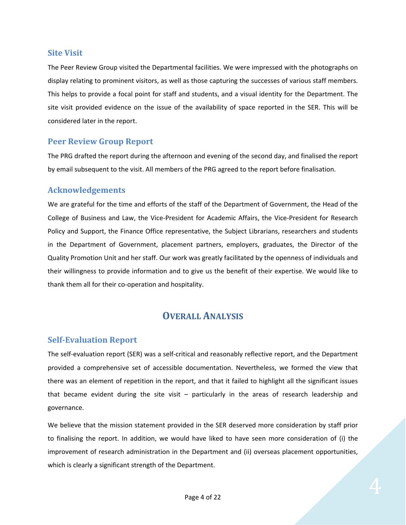#### <span id="page-3-0"></span>**Site Visit**

The Peer Review Group visited the Departmental facilities. We were impressed with the photographs on display relating to prominent visitors, as well as those capturing the successes of various staff members. This helps to provide a focal point for staff and students, and a visual identity for the Department. The site visit provided evidence on the issue of the availability of space reported in the SER. This will be considered later in the report.

## **Peer Review Group Report**

The PRG drafted the report during the afternoon and evening of the second day, and finalised the report by email subsequent to the visit. All members of the PRG agreed to the report before finalisation.

## **Acknowledgements**

We are grateful for the time and efforts of the staff of the Department of Government, the Head of the College of Business and Law, the Vice‐President for Academic Affairs, the Vice‐President for Research Policy and Support, the Finance Office representative, the Subject Librarians, researchers and students in the Department of Government, placement partners, employers, graduates, the Director of the Quality Promotion Unit and her staff. Our work was greatly facilitated by the openness of individuals and their willingness to provide information and to give us the benefit of their expertise. We would like to thank them all for their co-operation and hospitality.

# **OVERALL ANALYSIS**

#### **SelfEvaluation Report**

The self‐evaluation report (SER) was a self‐critical and reasonably reflective report, and the Department provided a comprehensive set of accessible documentation. Nevertheless, we formed the view that there was an element of repetition in the report, and that it failed to highlight all the significant issues that became evident during the site visit – particularly in the areas of research leadership and governance.

We believe that the mission statement provided in the SER deserved more consideration by staff prior to finalising the report. In addition, we would have liked to have seen more consideration of (i) the improvement of research administration in the Department and (ii) overseas placement opportunities, which is clearly a significant strength of the Department.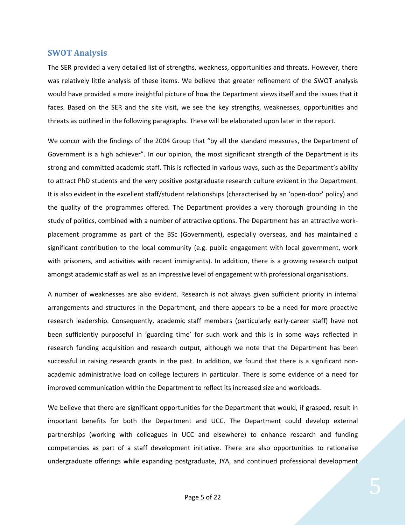#### <span id="page-4-0"></span>**SWOT Analysis**

The SER provided a very detailed list of strengths, weakness, opportunities and threats. However, there was relatively little analysis of these items. We believe that greater refinement of the SWOT analysis would have provided a more insightful picture of how the Department views itself and the issues that it faces. Based on the SER and the site visit, we see the key strengths, weaknesses, opportunities and threats as outlined in the following paragraphs. These will be elaborated upon later in the report.

We concur with the findings of the 2004 Group that "by all the standard measures, the Department of Government is a high achiever". In our opinion, the most significant strength of the Department is its strong and committed academic staff. This is reflected in various ways, such as the Department's ability to attract PhD students and the very positive postgraduate research culture evident in the Department. It is also evident in the excellent staff/student relationships (characterised by an 'open‐door' policy) and the quality of the programmes offered. The Department provides a very thorough grounding in the study of politics, combined with a number of attractive options. The Department has an attractive work‐ placement programme as part of the BSc (Government), especially overseas, and has maintained a significant contribution to the local community (e.g. public engagement with local government, work with prisoners, and activities with recent immigrants). In addition, there is a growing research output amongst academic staff as well as an impressive level of engagement with professional organisations.

A number of weaknesses are also evident. Research is not always given sufficient priority in internal arrangements and structures in the Department, and there appears to be a need for more proactive research leadership. Consequently, academic staff members (particularly early-career staff) have not been sufficiently purposeful in 'guarding time' for such work and this is in some ways reflected in research funding acquisition and research output, although we note that the Department has been successful in raising research grants in the past. In addition, we found that there is a significant nonacademic administrative load on college lecturers in particular. There is some evidence of a need for improved communication within the Department to reflect its increased size and workloads.

We believe that there are significant opportunities for the Department that would, if grasped, result in important benefits for both the Department and UCC. The Department could develop external partnerships (working with colleagues in UCC and elsewhere) to enhance research and funding competencies as part of a staff development initiative. There are also opportunities to rationalise undergraduate offerings while expanding postgraduate, JYA, and continued professional development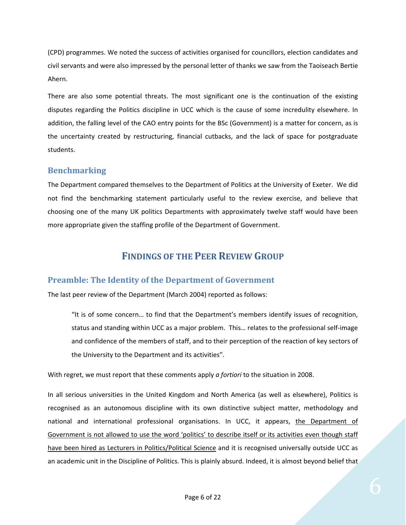<span id="page-5-0"></span>(CPD) programmes. We noted the success of activities organised for councillors, election candidates and civil servants and were also impressed by the personal letter of thanks we saw from the Taoiseach Bertie Ahern.

There are also some potential threats. The most significant one is the continuation of the existing disputes regarding the Politics discipline in UCC which is the cause of some incredulity elsewhere. In addition, the falling level of the CAO entry points for the BSc (Government) is a matter for concern, as is the uncertainty created by restructuring, financial cutbacks, and the lack of space for postgraduate students.

## **Benchmarking**

The Department compared themselves to the Department of Politics at the University of Exeter. We did not find the benchmarking statement particularly useful to the review exercise, and believe that choosing one of the many UK politics Departments with approximately twelve staff would have been more appropriate given the staffing profile of the Department of Government.

# **FINDINGS OF THE PEER REVIEW GROUP**

## **Preamble: The Identity of the Department of Government**

The last peer review of the Department (March 2004) reported as follows:

"It is of some concern… to find that the Department's members identify issues of recognition, status and standing within UCC as a major problem. This… relates to the professional self‐image and confidence of the members of staff, and to their perception of the reaction of key sectors of the University to the Department and its activities".

With regret, we must report that these comments apply *a fortiori* to the situation in 2008.

In all serious universities in the United Kingdom and North America (as well as elsewhere), Politics is recognised as an autonomous discipline with its own distinctive subject matter, methodology and national and international professional organisations. In UCC, it appears, the Department of Government is not allowed to use the word 'politics' to describe itself or its activities even though staff have been hired as Lecturers in Politics/Political Science and it is recognised universally outside UCC as an academic unit in the Discipline of Politics. This is plainly absurd. Indeed, it is almost beyond belief that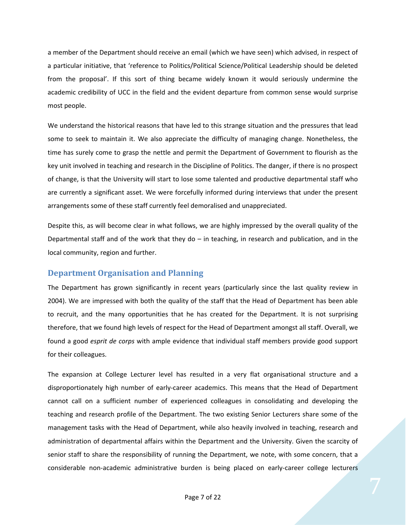<span id="page-6-0"></span>a member of the Department should receive an email (which we have seen) which advised, in respect of a particular initiative, that 'reference to Politics/Political Science/Political Leadership should be deleted from the proposal'. If this sort of thing became widely known it would seriously undermine the academic credibility of UCC in the field and the evident departure from common sense would surprise most people.

We understand the historical reasons that have led to this strange situation and the pressures that lead some to seek to maintain it. We also appreciate the difficulty of managing change. Nonetheless, the time has surely come to grasp the nettle and permit the Department of Government to flourish as the key unit involved in teaching and research in the Discipline of Politics. The danger, if there is no prospect of change, is that the University will start to lose some talented and productive departmental staff who are currently a significant asset. We were forcefully informed during interviews that under the present arrangements some of these staff currently feel demoralised and unappreciated.

Despite this, as will become clear in what follows, we are highly impressed by the overall quality of the Departmental staff and of the work that they do – in teaching, in research and publication, and in the local community, region and further.

#### **Department Organisation and Planning**

The Department has grown significantly in recent years (particularly since the last quality review in 2004). We are impressed with both the quality of the staff that the Head of Department has been able to recruit, and the many opportunities that he has created for the Department. It is not surprising therefore, that we found high levels of respect for the Head of Department amongst all staff. Overall, we found a good *esprit de corps* with ample evidence that individual staff members provide good support for their colleagues.

The expansion at College Lecturer level has resulted in a very flat organisational structure and a disproportionately high number of early‐career academics. This means that the Head of Department cannot call on a sufficient number of experienced colleagues in consolidating and developing the teaching and research profile of the Department. The two existing Senior Lecturers share some of the management tasks with the Head of Department, while also heavily involved in teaching, research and administration of departmental affairs within the Department and the University. Given the scarcity of senior staff to share the responsibility of running the Department, we note, with some concern, that a considerable non-academic administrative burden is being placed on early-career college lecturers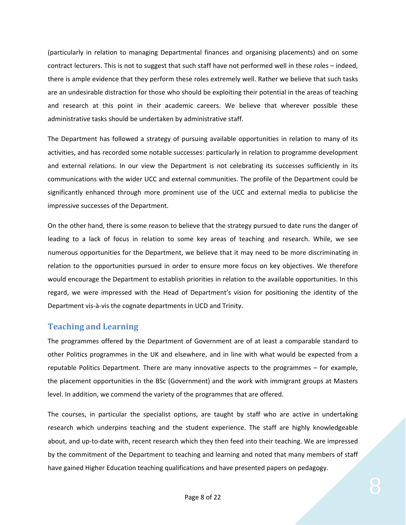<span id="page-7-0"></span>(particularly in relation to managing Departmental finances and organising placements) and on some contract lecturers. This is not to suggest that such staff have not performed well in these roles – indeed, there is ample evidence that they perform these roles extremely well. Rather we believe that such tasks are an undesirable distraction for those who should be exploiting their potential in the areas of teaching and research at this point in their academic careers. We believe that wherever possible these administrative tasks should be undertaken by administrative staff.

The Department has followed a strategy of pursuing available opportunities in relation to many of its activities, and has recorded some notable successes: particularly in relation to programme development and external relations. In our view the Department is not celebrating its successes sufficiently in its communications with the wider UCC and external communities. The profile of the Department could be significantly enhanced through more prominent use of the UCC and external media to publicise the impressive successes of the Department.

On the other hand, there is some reason to believe that the strategy pursued to date runs the danger of leading to a lack of focus in relation to some key areas of teaching and research. While, we see numerous opportunities for the Department, we believe that it may need to be more discriminating in relation to the opportunities pursued in order to ensure more focus on key objectives. We therefore would encourage the Department to establish priorities in relation to the available opportunities. In this regard, we were impressed with the Head of Department's vision for positioning the identity of the Department vis‐à‐vis the cognate departments in UCD and Trinity.

## **Teaching and Learning**

The programmes offered by the Department of Government are of at least a comparable standard to other Politics programmes in the UK and elsewhere, and in line with what would be expected from a reputable Politics Department. There are many innovative aspects to the programmes – for example, the placement opportunities in the BSc (Government) and the work with immigrant groups at Masters level. In addition, we commend the variety of the programmes that are offered.

The courses, in particular the specialist options, are taught by staff who are active in undertaking research which underpins teaching and the student experience. The staff are highly knowledgeable about, and up-to-date with, recent research which they then feed into their teaching. We are impressed by the commitment of the Department to teaching and learning and noted that many members of staff have gained Higher Education teaching qualifications and have presented papers on pedagogy.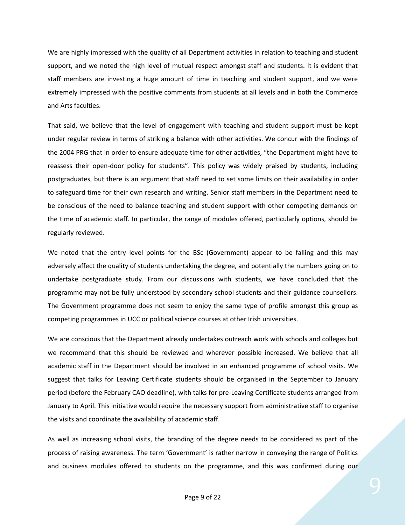We are highly impressed with the quality of all Department activities in relation to teaching and student support, and we noted the high level of mutual respect amongst staff and students. It is evident that staff members are investing a huge amount of time in teaching and student support, and we were extremely impressed with the positive comments from students at all levels and in both the Commerce and Arts faculties.

That said, we believe that the level of engagement with teaching and student support must be kept under regular review in terms of striking a balance with other activities. We concur with the findings of the 2004 PRG that in order to ensure adequate time for other activities, "the Department might have to reassess their open‐door policy for students". This policy was widely praised by students, including postgraduates, but there is an argument that staff need to set some limits on their availability in order to safeguard time for their own research and writing. Senior staff members in the Department need to be conscious of the need to balance teaching and student support with other competing demands on the time of academic staff. In particular, the range of modules offered, particularly options, should be regularly reviewed.

We noted that the entry level points for the BSc (Government) appear to be falling and this may adversely affect the quality of students undertaking the degree, and potentially the numbers going on to undertake postgraduate study. From our discussions with students, we have concluded that the programme may not be fully understood by secondary school students and their guidance counsellors. The Government programme does not seem to enjoy the same type of profile amongst this group as competing programmes in UCC or political science courses at other Irish universities.

We are conscious that the Department already undertakes outreach work with schools and colleges but we recommend that this should be reviewed and wherever possible increased. We believe that all academic staff in the Department should be involved in an enhanced programme of school visits. We suggest that talks for Leaving Certificate students should be organised in the September to January period (before the February CAO deadline), with talks for pre‐Leaving Certificate students arranged from January to April. This initiative would require the necessary support from administrative staff to organise the visits and coordinate the availability of academic staff.

As well as increasing school visits, the branding of the degree needs to be considered as part of the process of raising awareness. The term 'Government' is rather narrow in conveying the range of Politics and business modules offered to students on the programme, and this was confirmed during our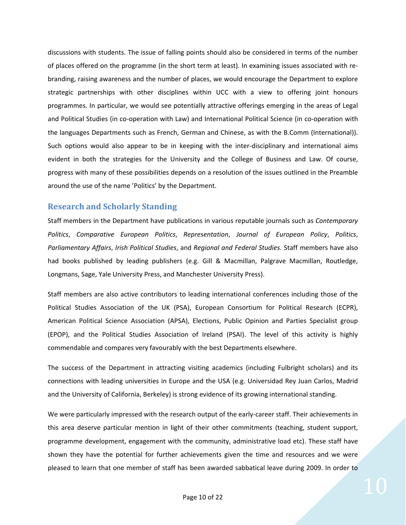<span id="page-9-0"></span>discussions with students. The issue of falling points should also be considered in terms of the number of places offered on the programme (in the short term at least). In examining issues associated with re‐ branding, raising awareness and the number of places, we would encourage the Department to explore strategic partnerships with other disciplines within UCC with a view to offering joint honours programmes. In particular, we would see potentially attractive offerings emerging in the areas of Legal and Political Studies (in co‐operation with Law) and International Political Science (in co‐operation with the languages Departments such as French, German and Chinese, as with the B.Comm (International)). Such options would also appear to be in keeping with the inter-disciplinary and international aims evident in both the strategies for the University and the College of Business and Law. Of course, progress with many of these possibilities depends on a resolution of the issues outlined in the Preamble around the use of the name 'Politics' by the Department.

#### **Research and Scholarly Standing**

Staff members in the Department have publications in various reputable journals such as *Contemporary Politics*, *Comparative European Politics*, *Representation*, *Journal of European Policy*, *Politics*, *Parliamentary Affairs*, *Irish Political Studies*, and *Regional and Federal Studies*. Staff members have also had books published by leading publishers (e.g. Gill & Macmillan, Palgrave Macmillan, Routledge, Longmans, Sage, Yale University Press, and Manchester University Press).

Staff members are also active contributors to leading international conferences including those of the Political Studies Association of the UK (PSA), European Consortium for Political Research (ECPR), American Political Science Association (APSA), Elections, Public Opinion and Parties Specialist group (EPOP), and the Political Studies Association of Ireland (PSAI). The level of this activity is highly commendable and compares very favourably with the best Departments elsewhere.

The success of the Department in attracting visiting academics (including Fulbright scholars) and its connections with leading universities in Europe and the USA (e.g. Universidad Rey Juan Carlos, Madrid and the University of California, Berkeley) is strong evidence of its growing international standing.

We were particularly impressed with the research output of the early‐career staff. Their achievements in this area deserve particular mention in light of their other commitments (teaching, student support, programme development, engagement with the community, administrative load etc). These staff have shown they have the potential for further achievements given the time and resources and we were pleased to learn that one member of staff has been awarded sabbatical leave during 2009. In order to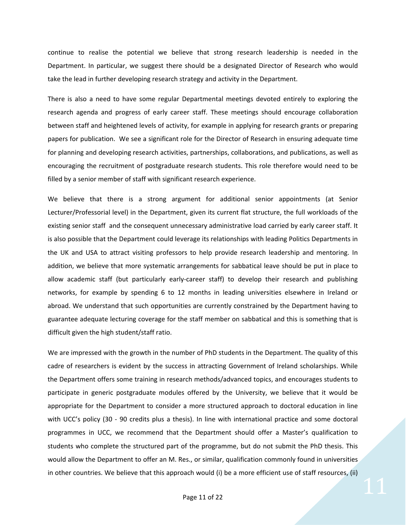continue to realise the potential we believe that strong research leadership is needed in the Department. In particular, we suggest there should be a designated Director of Research who would take the lead in further developing research strategy and activity in the Department.

There is also a need to have some regular Departmental meetings devoted entirely to exploring the research agenda and progress of early career staff. These meetings should encourage collaboration between staff and heightened levels of activity, for example in applying for research grants or preparing papers for publication. We see a significant role for the Director of Research in ensuring adequate time for planning and developing research activities, partnerships, collaborations, and publications, as well as encouraging the recruitment of postgraduate research students. This role therefore would need to be filled by a senior member of staff with significant research experience.

We believe that there is a strong argument for additional senior appointments (at Senior Lecturer/Professorial level) in the Department, given its current flat structure, the full workloads of the existing senior staff and the consequent unnecessary administrative load carried by early career staff. It is also possible that the Department could leverage its relationships with leading Politics Departments in the UK and USA to attract visiting professors to help provide research leadership and mentoring. In addition, we believe that more systematic arrangements for sabbatical leave should be put in place to allow academic staff (but particularly early‐career staff) to develop their research and publishing networks, for example by spending 6 to 12 months in leading universities elsewhere in Ireland or abroad. We understand that such opportunities are currently constrained by the Department having to guarantee adequate lecturing coverage for the staff member on sabbatical and this is something that is difficult given the high student/staff ratio.

We are impressed with the growth in the number of PhD students in the Department. The quality of this cadre of researchers is evident by the success in attracting Government of Ireland scholarships. While the Department offers some training in research methods/advanced topics, and encourages students to participate in generic postgraduate modules offered by the University, we believe that it would be appropriate for the Department to consider a more structured approach to doctoral education in line with UCC's policy (30 - 90 credits plus a thesis). In line with international practice and some doctoral programmes in UCC, we recommend that the Department should offer a Master's qualification to students who complete the structured part of the programme, but do not submit the PhD thesis. This would allow the Department to offer an M. Res., or similar, qualification commonly found in universities in other countries. We believe that this approach would (i) be a more efficient use of staff resources, (ii)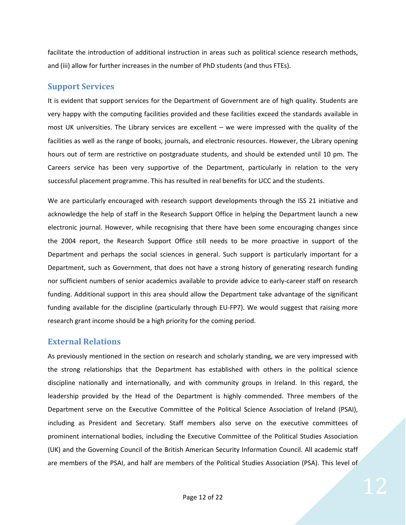<span id="page-11-0"></span>facilitate the introduction of additional instruction in areas such as political science research methods, and (iii) allow for further increases in the number of PhD students (and thus FTEs).

## **Support Services**

It is evident that support services for the Department of Government are of high quality. Students are very happy with the computing facilities provided and these facilities exceed the standards available in most UK universities. The Library services are excellent – we were impressed with the quality of the facilities as well as the range of books, journals, and electronic resources. However, the Library opening hours out of term are restrictive on postgraduate students, and should be extended until 10 pm. The Careers service has been very supportive of the Department, particularly in relation to the very successful placement programme. This has resulted in real benefits for UCC and the students.

We are particularly encouraged with research support developments through the ISS 21 initiative and acknowledge the help of staff in the Research Support Office in helping the Department launch a new electronic journal. However, while recognising that there have been some encouraging changes since the 2004 report, the Research Support Office still needs to be more proactive in support of the Department and perhaps the social sciences in general. Such support is particularly important for a Department, such as Government, that does not have a strong history of generating research funding nor sufficient numbers of senior academics available to provide advice to early-career staff on research funding. Additional support in this area should allow the Department take advantage of the significant funding available for the discipline (particularly through EU‐FP7). We would suggest that raising more research grant income should be a high priority for the coming period.

#### **External Relations**

As previously mentioned in the section on research and scholarly standing, we are very impressed with the strong relationships that the Department has established with others in the political science discipline nationally and internationally, and with community groups in Ireland. In this regard, the leadership provided by the Head of the Department is highly commended. Three members of the Department serve on the Executive Committee of the Political Science Association of Ireland (PSAI), including as President and Secretary. Staff members also serve on the executive committees of prominent international bodies, including the Executive Committee of the Political Studies Association (UK) and the Governing Council of the British American Security Information Council. All academic staff are members of the PSAI, and half are members of the Political Studies Association (PSA). This level of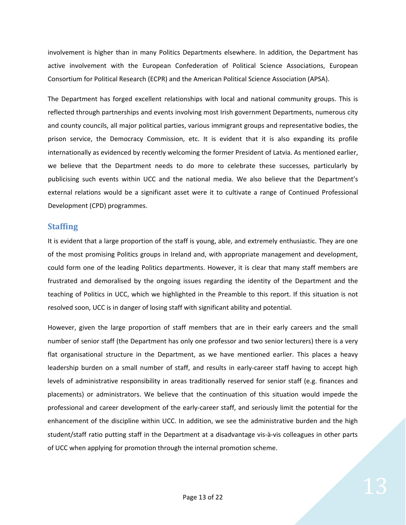<span id="page-12-0"></span>involvement is higher than in many Politics Departments elsewhere. In addition, the Department has active involvement with the European Confederation of Political Science Associations, European Consortium for Political Research (ECPR) and the American Political Science Association (APSA).

The Department has forged excellent relationships with local and national community groups. This is reflected through partnerships and events involving most Irish government Departments, numerous city and county councils, all major political parties, various immigrant groups and representative bodies, the prison service, the Democracy Commission, etc. It is evident that it is also expanding its profile internationally as evidenced by recently welcoming the former President of Latvia. As mentioned earlier, we believe that the Department needs to do more to celebrate these successes, particularly by publicising such events within UCC and the national media. We also believe that the Department's external relations would be a significant asset were it to cultivate a range of Continued Professional Development (CPD) programmes.

#### **Staffing**

It is evident that a large proportion of the staff is young, able, and extremely enthusiastic. They are one of the most promising Politics groups in Ireland and, with appropriate management and development, could form one of the leading Politics departments. However, it is clear that many staff members are frustrated and demoralised by the ongoing issues regarding the identity of the Department and the teaching of Politics in UCC, which we highlighted in the Preamble to this report. If this situation is not resolved soon, UCC is in danger of losing staff with significant ability and potential.

However, given the large proportion of staff members that are in their early careers and the small number of senior staff (the Department has only one professor and two senior lecturers) there is a very flat organisational structure in the Department, as we have mentioned earlier. This places a heavy leadership burden on a small number of staff, and results in early‐career staff having to accept high levels of administrative responsibility in areas traditionally reserved for senior staff (e.g. finances and placements) or administrators. We believe that the continuation of this situation would impede the professional and career development of the early‐career staff, and seriously limit the potential for the enhancement of the discipline within UCC. In addition, we see the administrative burden and the high student/staff ratio putting staff in the Department at a disadvantage vis‐à‐vis colleagues in other parts of UCC when applying for promotion through the internal promotion scheme.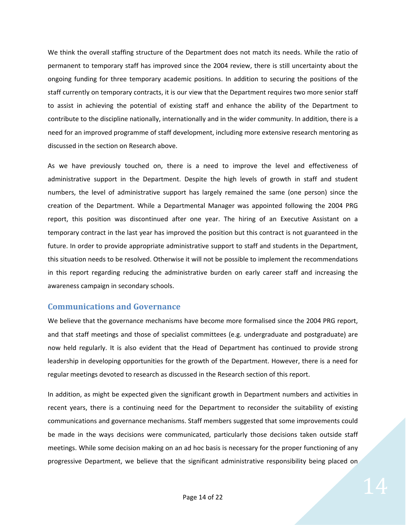<span id="page-13-0"></span>We think the overall staffing structure of the Department does not match its needs. While the ratio of permanent to temporary staff has improved since the 2004 review, there is still uncertainty about the ongoing funding for three temporary academic positions. In addition to securing the positions of the staff currently on temporary contracts, it is our view that the Department requires two more senior staff to assist in achieving the potential of existing staff and enhance the ability of the Department to contribute to the discipline nationally, internationally and in the wider community. In addition, there is a need for an improved programme of staff development, including more extensive research mentoring as discussed in the section on Research above.

As we have previously touched on, there is a need to improve the level and effectiveness of administrative support in the Department. Despite the high levels of growth in staff and student numbers, the level of administrative support has largely remained the same (one person) since the creation of the Department. While a Departmental Manager was appointed following the 2004 PRG report, this position was discontinued after one year. The hiring of an Executive Assistant on a temporary contract in the last year has improved the position but this contract is not guaranteed in the future. In order to provide appropriate administrative support to staff and students in the Department, this situation needs to be resolved. Otherwise it will not be possible to implement the recommendations in this report regarding reducing the administrative burden on early career staff and increasing the awareness campaign in secondary schools.

#### **Communications and Governance**

We believe that the governance mechanisms have become more formalised since the 2004 PRG report, and that staff meetings and those of specialist committees (e.g. undergraduate and postgraduate) are now held regularly. It is also evident that the Head of Department has continued to provide strong leadership in developing opportunities for the growth of the Department. However, there is a need for regular meetings devoted to research as discussed in the Research section of this report.

In addition, as might be expected given the significant growth in Department numbers and activities in recent years, there is a continuing need for the Department to reconsider the suitability of existing communications and governance mechanisms. Staff members suggested that some improvements could be made in the ways decisions were communicated, particularly those decisions taken outside staff meetings. While some decision making on an ad hoc basis is necessary for the proper functioning of any progressive Department, we believe that the significant administrative responsibility being placed on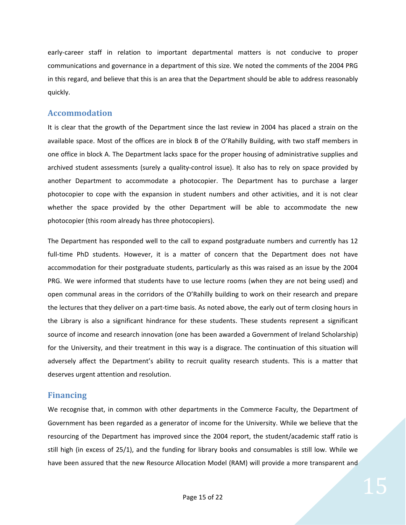<span id="page-14-0"></span>early-career staff in relation to important departmental matters is not conducive to proper communications and governance in a department of this size. We noted the comments of the 2004 PRG in this regard, and believe that this is an area that the Department should be able to address reasonably quickly.

#### **Accommodation**

It is clear that the growth of the Department since the last review in 2004 has placed a strain on the available space. Most of the offices are in block B of the O'Rahilly Building, with two staff members in one office in block A. The Department lacks space for the proper housing of administrative supplies and archived student assessments (surely a quality‐control issue). It also has to rely on space provided by another Department to accommodate a photocopier. The Department has to purchase a larger photocopier to cope with the expansion in student numbers and other activities, and it is not clear whether the space provided by the other Department will be able to accommodate the new photocopier (this room already has three photocopiers).

The Department has responded well to the call to expand postgraduate numbers and currently has 12 full-time PhD students. However, it is a matter of concern that the Department does not have accommodation for their postgraduate students, particularly as this was raised as an issue by the 2004 PRG. We were informed that students have to use lecture rooms (when they are not being used) and open communal areas in the corridors of the O'Rahilly building to work on their research and prepare the lectures that they deliver on a part‐time basis. As noted above, the early out of term closing hours in the Library is also a significant hindrance for these students. These students represent a significant source of income and research innovation (one has been awarded a Government of Ireland Scholarship) for the University, and their treatment in this way is a disgrace. The continuation of this situation will adversely affect the Department's ability to recruit quality research students. This is a matter that deserves urgent attention and resolution.

#### **Financing**

We recognise that, in common with other departments in the Commerce Faculty, the Department of Government has been regarded as a generator of income for the University. While we believe that the resourcing of the Department has improved since the 2004 report, the student/academic staff ratio is still high (in excess of 25/1), and the funding for library books and consumables is still low. While we have been assured that the new Resource Allocation Model (RAM) will provide a more transparent and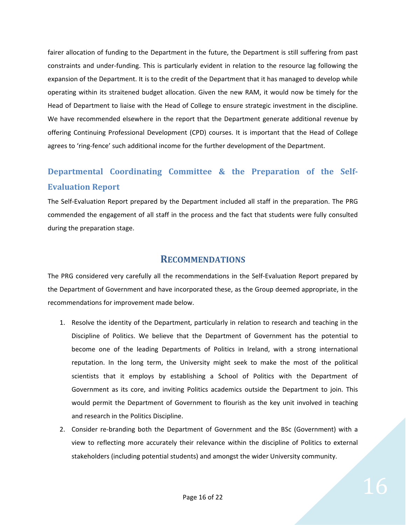<span id="page-15-0"></span>fairer allocation of funding to the Department in the future, the Department is still suffering from past constraints and under‐funding. This is particularly evident in relation to the resource lag following the expansion of the Department. It is to the credit of the Department that it has managed to develop while operating within its straitened budget allocation. Given the new RAM, it would now be timely for the Head of Department to liaise with the Head of College to ensure strategic investment in the discipline. We have recommended elsewhere in the report that the Department generate additional revenue by offering Continuing Professional Development (CPD) courses. It is important that the Head of College agrees to 'ring-fence' such additional income for the further development of the Department.

# **Departmental Coordinating Committee & the Preparation of the Self-Evaluation Report**

The Self‐Evaluation Report prepared by the Department included all staff in the preparation. The PRG commended the engagement of all staff in the process and the fact that students were fully consulted during the preparation stage.

# **RECOMMENDATIONS**

The PRG considered very carefully all the recommendations in the Self‐Evaluation Report prepared by the Department of Government and have incorporated these, as the Group deemed appropriate, in the recommendations for improvement made below.

- 1. Resolve the identity of the Department, particularly in relation to research and teaching in the Discipline of Politics. We believe that the Department of Government has the potential to become one of the leading Departments of Politics in Ireland, with a strong international reputation. In the long term, the University might seek to make the most of the political scientists that it employs by establishing a School of Politics with the Department of Government as its core, and inviting Politics academics outside the Department to join. This would permit the Department of Government to flourish as the key unit involved in teaching and research in the Politics Discipline.
- 2. Consider re-branding both the Department of Government and the BSc (Government) with a view to reflecting more accurately their relevance within the discipline of Politics to external stakeholders (including potential students) and amongst the wider University community.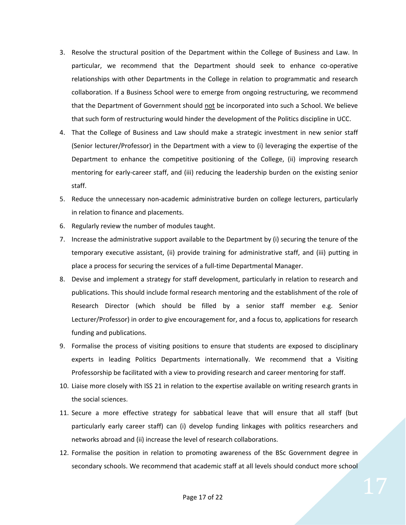- 3. Resolve the structural position of the Department within the College of Business and Law. In particular, we recommend that the Department should seek to enhance co-operative relationships with other Departments in the College in relation to programmatic and research collaboration. If a Business School were to emerge from ongoing restructuring, we recommend that the Department of Government should not be incorporated into such a School. We believe that such form of restructuring would hinder the development of the Politics discipline in UCC.
- 4. That the College of Business and Law should make a strategic investment in new senior staff (Senior lecturer/Professor) in the Department with a view to (i) leveraging the expertise of the Department to enhance the competitive positioning of the College, (ii) improving research mentoring for early‐career staff, and (iii) reducing the leadership burden on the existing senior staff.
- 5. Reduce the unnecessary non-academic administrative burden on college lecturers, particularly in relation to finance and placements.
- 6. Regularly review the number of modules taught.
- 7. Increase the administrative support available to the Department by (i) securing the tenure of the temporary executive assistant, (ii) provide training for administrative staff, and (iii) putting in place a process for securing the services of a full‐time Departmental Manager.
- 8. Devise and implement a strategy for staff development, particularly in relation to research and publications. This should include formal research mentoring and the establishment of the role of Research Director (which should be filled by a senior staff member e.g. Senior Lecturer/Professor) in order to give encouragement for, and a focus to, applications for research funding and publications.
- 9. Formalise the process of visiting positions to ensure that students are exposed to disciplinary experts in leading Politics Departments internationally. We recommend that a Visiting Professorship be facilitated with a view to providing research and career mentoring for staff.
- 10. Liaise more closely with ISS 21 in relation to the expertise available on writing research grants in the social sciences.
- 11. Secure a more effective strategy for sabbatical leave that will ensure that all staff (but particularly early career staff) can (i) develop funding linkages with politics researchers and networks abroad and (ii) increase the level of research collaborations.
- 12. Formalise the position in relation to promoting awareness of the BSc Government degree in secondary schools. We recommend that academic staff at all levels should conduct more school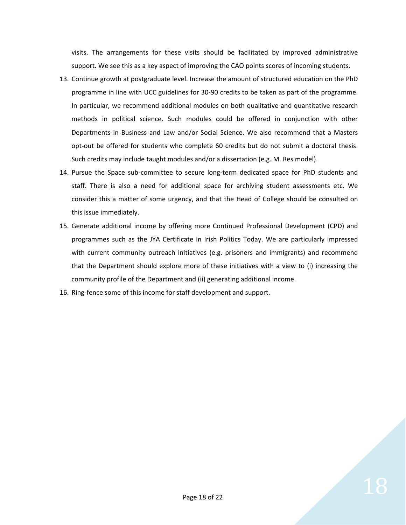visits. The arrangements for these visits should be facilitated by improved administrative support. We see this as a key aspect of improving the CAO points scores of incoming students.

- 13. Continue growth at postgraduate level. Increase the amount of structured education on the PhD programme in line with UCC guidelines for 30‐90 credits to be taken as part of the programme. In particular, we recommend additional modules on both qualitative and quantitative research methods in political science. Such modules could be offered in conjunction with other Departments in Business and Law and/or Social Science. We also recommend that a Masters opt-out be offered for students who complete 60 credits but do not submit a doctoral thesis. Such credits may include taught modules and/or a dissertation (e.g. M. Res model).
- 14. Pursue the Space sub‐committee to secure long‐term dedicated space for PhD students and staff. There is also a need for additional space for archiving student assessments etc. We consider this a matter of some urgency, and that the Head of College should be consulted on this issue immediately.
- 15. Generate additional income by offering more Continued Professional Development (CPD) and programmes such as the JYA Certificate in Irish Politics Today. We are particularly impressed with current community outreach initiatives (e.g. prisoners and immigrants) and recommend that the Department should explore more of these initiatives with a view to (i) increasing the community profile of the Department and (ii) generating additional income.
- 16. Ring-fence some of this income for staff development and support.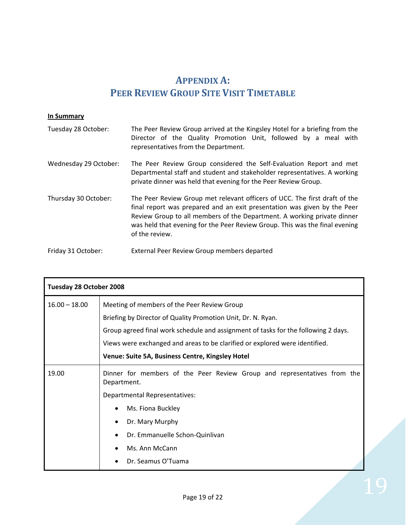# **APPENDIX A: PEER REVIEW GROUP SITE VISIT TIMETABLE**

#### <span id="page-18-0"></span>**In Summary**

| Tuesday 28 October:   | The Peer Review Group arrived at the Kingsley Hotel for a briefing from the<br>Director of the Quality Promotion Unit, followed by a meal with<br>representatives from the Department.                                                                                                                                             |  |
|-----------------------|------------------------------------------------------------------------------------------------------------------------------------------------------------------------------------------------------------------------------------------------------------------------------------------------------------------------------------|--|
| Wednesday 29 October: | The Peer Review Group considered the Self-Evaluation Report and met<br>Departmental staff and student and stakeholder representatives. A working<br>private dinner was held that evening for the Peer Review Group.                                                                                                                |  |
| Thursday 30 October:  | The Peer Review Group met relevant officers of UCC. The first draft of the<br>final report was prepared and an exit presentation was given by the Peer<br>Review Group to all members of the Department. A working private dinner<br>was held that evening for the Peer Review Group. This was the final evening<br>of the review. |  |
| Friday 31 October:    | External Peer Review Group members departed                                                                                                                                                                                                                                                                                        |  |

| Tuesday 28 October 2008 |                                                                                         |  |  |
|-------------------------|-----------------------------------------------------------------------------------------|--|--|
| $16.00 - 18.00$         | Meeting of members of the Peer Review Group                                             |  |  |
|                         | Briefing by Director of Quality Promotion Unit, Dr. N. Ryan.                            |  |  |
|                         | Group agreed final work schedule and assignment of tasks for the following 2 days.      |  |  |
|                         | Views were exchanged and areas to be clarified or explored were identified.             |  |  |
|                         | Venue: Suite 5A, Business Centre, Kingsley Hotel                                        |  |  |
| 19.00                   | Dinner for members of the Peer Review Group and representatives from the<br>Department. |  |  |
|                         | Departmental Representatives:                                                           |  |  |
|                         | Ms. Fiona Buckley                                                                       |  |  |
|                         | Dr. Mary Murphy                                                                         |  |  |
|                         | Dr. Emmanuelle Schon-Quinlivan                                                          |  |  |
|                         | Ms. Ann McCann                                                                          |  |  |
|                         | Dr. Seamus O'Tuama                                                                      |  |  |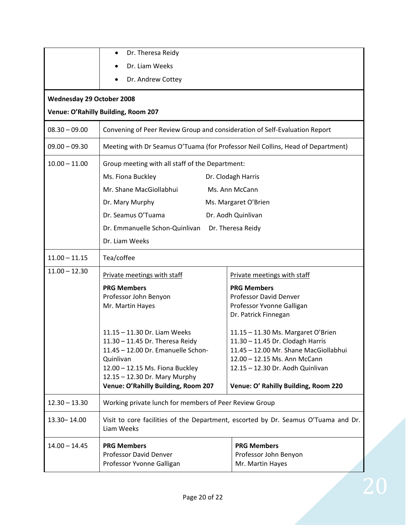|                                     | Dr. Theresa Reidy<br>$\bullet$                                                                   |                                       |  |  |
|-------------------------------------|--------------------------------------------------------------------------------------------------|---------------------------------------|--|--|
|                                     | Dr. Liam Weeks                                                                                   |                                       |  |  |
|                                     |                                                                                                  |                                       |  |  |
|                                     | Dr. Andrew Cottey                                                                                |                                       |  |  |
| <b>Wednesday 29 October 2008</b>    |                                                                                                  |                                       |  |  |
| Venue: O'Rahilly Building, Room 207 |                                                                                                  |                                       |  |  |
| $08.30 - 09.00$                     | Convening of Peer Review Group and consideration of Self-Evaluation Report                       |                                       |  |  |
| $09.00 - 09.30$                     | Meeting with Dr Seamus O'Tuama (for Professor Neil Collins, Head of Department)                  |                                       |  |  |
| $10.00 - 11.00$                     | Group meeting with all staff of the Department:                                                  |                                       |  |  |
|                                     | Ms. Fiona Buckley                                                                                | Dr. Clodagh Harris                    |  |  |
|                                     | Mr. Shane MacGiollabhui                                                                          | Ms. Ann McCann                        |  |  |
|                                     | Dr. Mary Murphy                                                                                  | Ms. Margaret O'Brien                  |  |  |
|                                     | Dr. Seamus O'Tuama                                                                               | Dr. Aodh Quinlivan                    |  |  |
|                                     | Dr. Emmanuelle Schon-Quinlivan Dr. Theresa Reidy                                                 |                                       |  |  |
|                                     | Dr. Liam Weeks                                                                                   |                                       |  |  |
| $11.00 - 11.15$                     | Tea/coffee                                                                                       |                                       |  |  |
| $11.00 - 12.30$                     | Private meetings with staff                                                                      | Private meetings with staff           |  |  |
|                                     | <b>PRG Members</b>                                                                               | <b>PRG Members</b>                    |  |  |
|                                     | Professor John Benyon                                                                            | Professor David Denver                |  |  |
|                                     | Mr. Martin Hayes                                                                                 | Professor Yvonne Galligan             |  |  |
|                                     |                                                                                                  | Dr. Patrick Finnegan                  |  |  |
|                                     | 11.15 - 11.30 Dr. Liam Weeks                                                                     | 11.15 - 11.30 Ms. Margaret O'Brien    |  |  |
|                                     | 11.30 - 11.45 Dr. Theresa Reidy                                                                  | 11.30 - 11.45 Dr. Clodagh Harris      |  |  |
|                                     | 11.45 - 12.00 Dr. Emanuelle Schon-                                                               | 11.45 - 12.00 Mr. Shane MacGiollabhui |  |  |
|                                     | Quinlivan                                                                                        | 12.00 - 12.15 Ms. Ann McCann          |  |  |
|                                     | 12.00 - 12.15 Ms. Fiona Buckley                                                                  | 12.15 - 12.30 Dr. Aodh Quinlivan      |  |  |
|                                     | 12.15 - 12.30 Dr. Mary Murphy<br>Venue: O'Rahilly Building, Room 207                             | Venue: O' Rahilly Building, Room 220  |  |  |
| $12.30 - 13.30$                     | Working private lunch for members of Peer Review Group                                           |                                       |  |  |
| 13.30 - 14.00                       | Visit to core facilities of the Department, escorted by Dr. Seamus O'Tuama and Dr.<br>Liam Weeks |                                       |  |  |
| $14.00 - 14.45$                     | <b>PRG Members</b>                                                                               | <b>PRG Members</b>                    |  |  |
|                                     | Professor David Denver                                                                           | Professor John Benyon                 |  |  |
|                                     | Professor Yvonne Galligan                                                                        | Mr. Martin Hayes                      |  |  |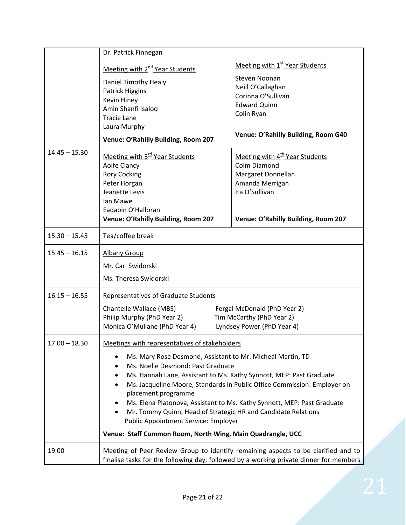|                 | Dr. Patrick Finnegan                                                              |                                                                                        |  |
|-----------------|-----------------------------------------------------------------------------------|----------------------------------------------------------------------------------------|--|
|                 | Meeting with 2 <sup>nd</sup> Year Students                                        | Meeting with 1 <sup>st</sup> Year Students                                             |  |
|                 |                                                                                   | Steven Noonan                                                                          |  |
|                 | Daniel Timothy Healy                                                              | Neill O'Callaghan                                                                      |  |
|                 | Patrick Higgins                                                                   | Corinna O'Sullivan                                                                     |  |
|                 | Kevin Hiney<br>Amin Shanfi Isaloo                                                 | <b>Edward Quinn</b>                                                                    |  |
|                 | <b>Tracie Lane</b>                                                                | Colin Ryan                                                                             |  |
|                 | Laura Murphy                                                                      |                                                                                        |  |
|                 | Venue: O'Rahilly Building, Room 207                                               | Venue: O'Rahilly Building, Room G40                                                    |  |
| $14.45 - 15.30$ |                                                                                   |                                                                                        |  |
|                 | Meeting with 3 <sup>rd</sup> Year Students<br>Aoife Clancy                        | Meeting with 4 <sup>th</sup> Year Students<br><b>Colm Diamond</b>                      |  |
|                 | <b>Rory Cocking</b>                                                               | Margaret Donnellan                                                                     |  |
|                 | Peter Horgan                                                                      | Amanda Merrigan                                                                        |  |
|                 | Jeanette Levis                                                                    | Ita O'Sullivan                                                                         |  |
|                 | lan Mawe                                                                          |                                                                                        |  |
|                 | Eadaoin O'Halloran                                                                |                                                                                        |  |
|                 | Venue: O'Rahilly Building, Room 207                                               | Venue: O'Rahilly Building, Room 207                                                    |  |
| $15.30 - 15.45$ | Tea/coffee break                                                                  |                                                                                        |  |
| $15.45 - 16.15$ | <b>Albany Group</b>                                                               |                                                                                        |  |
|                 | Mr. Carl Swidorski                                                                |                                                                                        |  |
|                 | Ms. Theresa Swidorski                                                             |                                                                                        |  |
| $16.15 - 16.55$ | <b>Representatives of Graduate Students</b>                                       |                                                                                        |  |
|                 | Chantelle Wallace (MBS)                                                           | Fergal McDonald (PhD Year 2)                                                           |  |
|                 | Philip Murphy (PhD Year 2)                                                        | Tim McCarthy (PhD Year 2)                                                              |  |
|                 | Monica O'Mullane (PhD Year 4)                                                     | Lyndsey Power (PhD Year 4)                                                             |  |
| $17.00 - 18.30$ | Meetings with representatives of stakeholders                                     |                                                                                        |  |
|                 | Ms. Mary Rose Desmond, Assistant to Mr. Micheál Martin, TD                        |                                                                                        |  |
|                 | Ms. Noelle Desmond: Past Graduate<br>$\bullet$                                    |                                                                                        |  |
|                 | $\bullet$                                                                         | Ms. Hannah Lane, Assistant to Ms. Kathy Synnott, MEP: Past Graduate                    |  |
|                 | $\bullet$                                                                         | Ms. Jacqueline Moore, Standards in Public Office Commission: Employer on               |  |
|                 | placement programme                                                               |                                                                                        |  |
|                 |                                                                                   | Ms. Elena Platonova, Assistant to Ms. Kathy Synnott, MEP: Past Graduate                |  |
|                 | Mr. Tommy Quinn, Head of Strategic HR and Candidate Relations                     |                                                                                        |  |
|                 | <b>Public Appointment Service: Employer</b>                                       |                                                                                        |  |
|                 | Venue: Staff Common Room, North Wing, Main Quadrangle, UCC                        |                                                                                        |  |
| 19.00           | Meeting of Peer Review Group to identify remaining aspects to be clarified and to |                                                                                        |  |
|                 |                                                                                   | finalise tasks for the following day, followed by a working private dinner for members |  |
|                 |                                                                                   |                                                                                        |  |